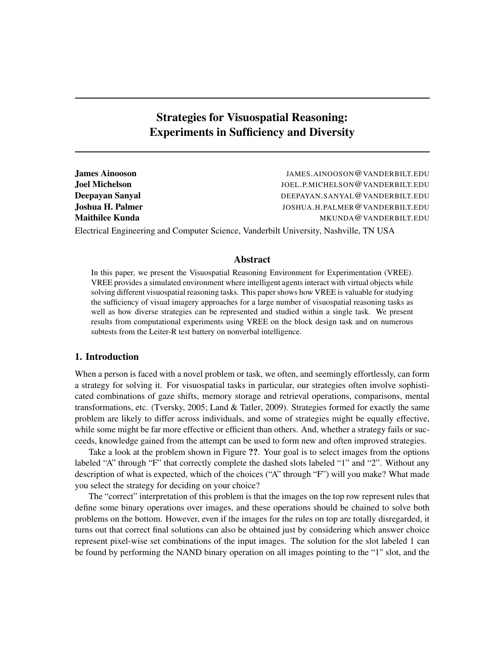# Strategies for Visuospatial Reasoning: Experiments in Sufficiency and Diversity

| <b>James Ainooson</b> | JAMES.AINOOSON@VANDERBILT.EDU   |
|-----------------------|---------------------------------|
| Joel Michelson        | JOEL.P.MICHELSON@VANDERBILT.EDU |
| Deepayan Sanyal       | DEEPAYAN.SANYAL@VANDERBILT.EDU  |
| Joshua H. Palmer      | JOSHUA.H.PALMER@VANDERBILT.EDU  |
| Maithilee Kunda       | MKUNDA@VANDERBILT.EDU           |
|                       |                                 |

Electrical Engineering and Computer Science, Vanderbilt University, Nashville, TN USA

# Abstract

In this paper, we present the Visuospatial Reasoning Environment for Experimentation (VREE). VREE provides a simulated environment where intelligent agents interact with virtual objects while solving different visuospatial reasoning tasks. This paper shows how VREE is valuable for studying the sufficiency of visual imagery approaches for a large number of visuospatial reasoning tasks as well as how diverse strategies can be represented and studied within a single task. We present results from computational experiments using VREE on the block design task and on numerous subtests from the Leiter-R test battery on nonverbal intelligence.

# 1. Introduction

When a person is faced with a novel problem or task, we often, and seemingly effortlessly, can form a strategy for solving it. For visuospatial tasks in particular, our strategies often involve sophisticated combinations of gaze shifts, memory storage and retrieval operations, comparisons, mental transformations, etc. (Tversky, 2005; Land & Tatler, 2009). Strategies formed for exactly the same problem are likely to differ across individuals, and some of strategies might be equally effective, while some might be far more effective or efficient than others. And, whether a strategy fails or succeeds, knowledge gained from the attempt can be used to form new and often improved strategies.

Take a look at the problem shown in Figure ??. Your goal is to select images from the options labeled "A" through "F" that correctly complete the dashed slots labeled "1" and "2". Without any description of what is expected, which of the choices ("A" through "F") will you make? What made you select the strategy for deciding on your choice?

The "correct" interpretation of this problem is that the images on the top row represent rules that define some binary operations over images, and these operations should be chained to solve both problems on the bottom. However, even if the images for the rules on top are totally disregarded, it turns out that correct final solutions can also be obtained just by considering which answer choice represent pixel-wise set combinations of the input images. The solution for the slot labeled 1 can be found by performing the NAND binary operation on all images pointing to the "1" slot, and the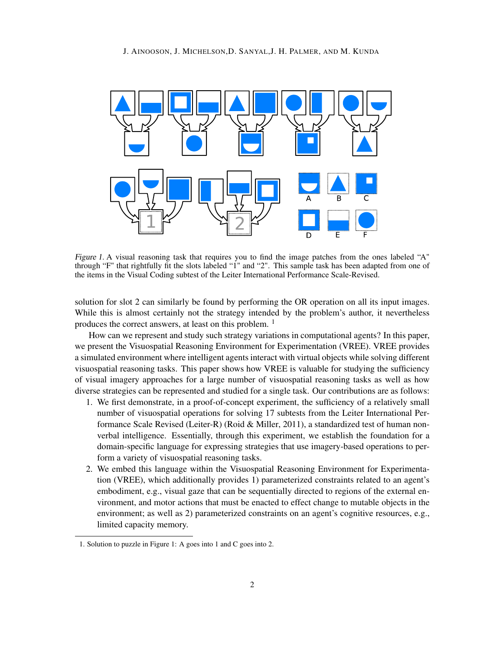

Figure 1. A visual reasoning task that requires you to find the image patches from the ones labeled "A" through "F" that rightfully fit the slots labeled "1" and "2". This sample task has been adapted from one of the items in the Visual Coding subtest of the Leiter International Performance Scale-Revised.

solution for slot 2 can similarly be found by performing the OR operation on all its input images. While this is almost certainly not the strategy intended by the problem's author, it nevertheless produces the correct answers, at least on this problem. <sup>1</sup>

How can we represent and study such strategy variations in computational agents? In this paper, we present the Visuospatial Reasoning Environment for Experimentation (VREE). VREE provides a simulated environment where intelligent agents interact with virtual objects while solving different visuospatial reasoning tasks. This paper shows how VREE is valuable for studying the sufficiency of visual imagery approaches for a large number of visuospatial reasoning tasks as well as how diverse strategies can be represented and studied for a single task. Our contributions are as follows:

- 1. We first demonstrate, in a proof-of-concept experiment, the sufficiency of a relatively small number of visuospatial operations for solving 17 subtests from the Leiter International Performance Scale Revised (Leiter-R) (Roid & Miller, 2011), a standardized test of human nonverbal intelligence. Essentially, through this experiment, we establish the foundation for a domain-specific language for expressing strategies that use imagery-based operations to perform a variety of visuospatial reasoning tasks.
- 2. We embed this language within the Visuospatial Reasoning Environment for Experimentation (VREE), which additionally provides 1) parameterized constraints related to an agent's embodiment, e.g., visual gaze that can be sequentially directed to regions of the external environment, and motor actions that must be enacted to effect change to mutable objects in the environment; as well as 2) parameterized constraints on an agent's cognitive resources, e.g., limited capacity memory.

<sup>1.</sup> Solution to puzzle in Figure 1: A goes into 1 and C goes into 2.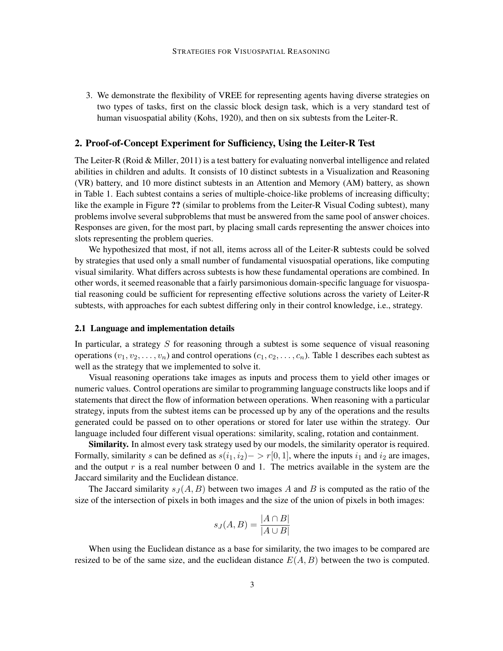3. We demonstrate the flexibility of VREE for representing agents having diverse strategies on two types of tasks, first on the classic block design task, which is a very standard test of human visuospatial ability (Kohs, 1920), and then on six subtests from the Leiter-R.

#### 2. Proof-of-Concept Experiment for Sufficiency, Using the Leiter-R Test

The Leiter-R (Roid & Miller, 2011) is a test battery for evaluating nonverbal intelligence and related abilities in children and adults. It consists of 10 distinct subtests in a Visualization and Reasoning (VR) battery, and 10 more distinct subtests in an Attention and Memory (AM) battery, as shown in Table 1. Each subtest contains a series of multiple-choice-like problems of increasing difficulty; like the example in Figure ?? (similar to problems from the Leiter-R Visual Coding subtest), many problems involve several subproblems that must be answered from the same pool of answer choices. Responses are given, for the most part, by placing small cards representing the answer choices into slots representing the problem queries.

We hypothesized that most, if not all, items across all of the Leiter-R subtests could be solved by strategies that used only a small number of fundamental visuospatial operations, like computing visual similarity. What differs across subtests is how these fundamental operations are combined. In other words, it seemed reasonable that a fairly parsimonious domain-specific language for visuospatial reasoning could be sufficient for representing effective solutions across the variety of Leiter-R subtests, with approaches for each subtest differing only in their control knowledge, i.e., strategy.

#### 2.1 Language and implementation details

In particular, a strategy  $S$  for reasoning through a subtest is some sequence of visual reasoning operations  $(v_1, v_2, \ldots, v_n)$  and control operations  $(c_1, c_2, \ldots, c_n)$ . Table 1 describes each subtest as well as the strategy that we implemented to solve it.

Visual reasoning operations take images as inputs and process them to yield other images or numeric values. Control operations are similar to programming language constructs like loops and if statements that direct the flow of information between operations. When reasoning with a particular strategy, inputs from the subtest items can be processed up by any of the operations and the results generated could be passed on to other operations or stored for later use within the strategy. Our language included four different visual operations: similarity, scaling, rotation and containment.

Similarity. In almost every task strategy used by our models, the similarity operator is required. Formally, similarity s can be defined as  $s(i_1, i_2)$   $\gt$  r[0, 1], where the inputs  $i_1$  and  $i_2$  are images, and the output  $r$  is a real number between 0 and 1. The metrics available in the system are the Jaccard similarity and the Euclidean distance.

The Jaccard similarity  $s<sub>J</sub>(A, B)$  between two images A and B is computed as the ratio of the size of the intersection of pixels in both images and the size of the union of pixels in both images:

$$
s_J(A, B) = \frac{|A \cap B|}{|A \cup B|}
$$

When using the Euclidean distance as a base for similarity, the two images to be compared are resized to be of the same size, and the euclidean distance  $E(A, B)$  between the two is computed.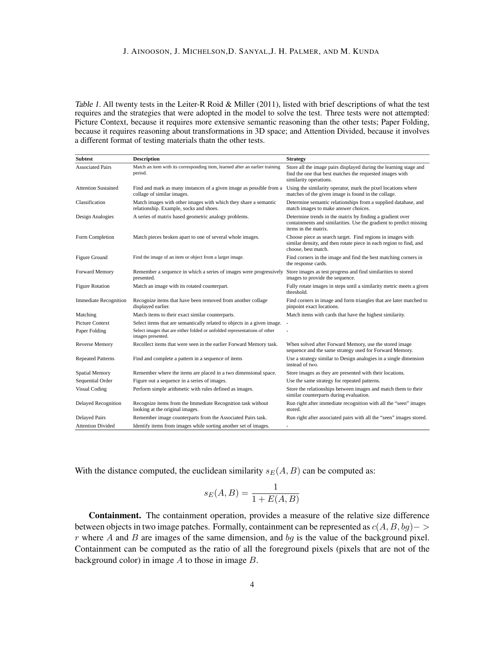#### J. AINOOSON, J. MICHELSON,D. SANYAL,J. H. PALMER, AND M. KUNDA

Table 1. All twenty tests in the Leiter-R Roid & Miller (2011), listed with brief descriptions of what the test requires and the strategies that were adopted in the model to solve the test. Three tests were not attempted: Picture Context, because it requires more extensive semantic reasoning than the other tests; Paper Folding, because it requires reasoning about transformations in 3D space; and Attention Divided, because it involves a different format of testing materials thatn the other tests.

| <b>Subtest</b>               | <b>Description</b>                                                                                         | <b>Strategy</b>                                                                                                                                         |
|------------------------------|------------------------------------------------------------------------------------------------------------|---------------------------------------------------------------------------------------------------------------------------------------------------------|
| <b>Associated Pairs</b>      | Match an item with its corresponding item, learned after an earlier training<br>period.                    | Store all the image pairs displayed during the learning stage and<br>find the one that best matches the requested images with<br>similarity operations. |
| <b>Attention Sustained</b>   | Find and mark as many instances of a given image as possible from a<br>collage of similar images.          | Using the similarity operator, mark the pixel locations where<br>matches of the given image is found in the collage.                                    |
| Classification               | Match images with other images with which they share a semantic<br>relationship. Example, socks and shoes. | Determine semantic relationships from a supplied database, and<br>match images to make answer choices.                                                  |
| Design Analogies             | A series of matrix based geometric analogy problems.                                                       | Determine trends in the matrix by finding a gradient over<br>containments and similarities. Use the gradient to predict missing<br>items in the matrix. |
| Form Completion              | Match pieces broken apart to one of several whole images.                                                  | Choose piece as search target. Find regions in images with<br>similar density, and then rotate piece in each region to find, and<br>choose, best match. |
| <b>Figure Ground</b>         | Find the image of an item or object from a larger image.                                                   | Find corners in the image and find the best matching corners in<br>the response cards.                                                                  |
| Forward Memory               | Remember a sequence in which a series of images were progressively<br>presented.                           | Store images as test progress and find similarities to stored<br>images to provide the sequence.                                                        |
| <b>Figure Rotation</b>       | Match an image with its rotated counterpart.                                                               | Fully rotate images in steps until a similarity metric meets a given<br>threshold.                                                                      |
| <b>Immediate Recognition</b> | Recognize items that have been removed from another collage<br>displayed earlier.                          | Find corners in image and form triangles that are later matched to<br>pinpoint exact locations.                                                         |
| Matching                     | Match items to their exact similar counterparts.                                                           | Match items with cards that have the highest similarity.                                                                                                |
| <b>Picture Context</b>       | Select items that are semantically related to objects in a given image.                                    | $\overline{\phantom{a}}$                                                                                                                                |
| Paper Folding                | Select images that are either folded or unfolded representations of other<br>images presented.             |                                                                                                                                                         |
| <b>Reverse Memory</b>        | Recollect items that were seen in the earlier Forward Memory task.                                         | When solved after Forward Memory, use the stored image<br>sequence and the same strategy used for Forward Memory.                                       |
| <b>Repeated Patterns</b>     | Find and complete a pattern in a sequence of items                                                         | Use a strategy similar to Design analogies in a single dimension<br>instead of two.                                                                     |
| Spatial Memory               | Remember where the items are placed in a two dimensional space.                                            | Store images as they are presented with their locations.                                                                                                |
| Sequential Order             | Figure out a sequence in a series of images.                                                               | Use the same strategy for repeated patterns.                                                                                                            |
| <b>Visual Coding</b>         | Perform simple arithmetic with rules defined as images.                                                    | Store the relationships between images and match them to their<br>similar counterparts during evaluation.                                               |
| Delayed Recognition          | Recognize items from the Immediate Recognition task without<br>looking at the original images.             | Run right after immediate recognition with all the "seen" images<br>stored.                                                                             |
| <b>Delayed Pairs</b>         | Remember image counterparts from the Associated Pairs task.                                                | Run right after associated pairs with all the "seen" images stored.                                                                                     |
| <b>Attention Divided</b>     | Identify items from images while sorting another set of images.                                            |                                                                                                                                                         |

With the distance computed, the euclidean similarity  $s_E(A, B)$  can be computed as:

$$
s_E(A, B) = \frac{1}{1 + E(A, B)}
$$

Containment. The containment operation, provides a measure of the relative size difference between objects in two image patches. Formally, containment can be represented as  $c(A, B, bg)$  - >  $r$  where  $A$  and  $B$  are images of the same dimension, and  $bg$  is the value of the background pixel. Containment can be computed as the ratio of all the foreground pixels (pixels that are not of the background color) in image  $A$  to those in image  $B$ .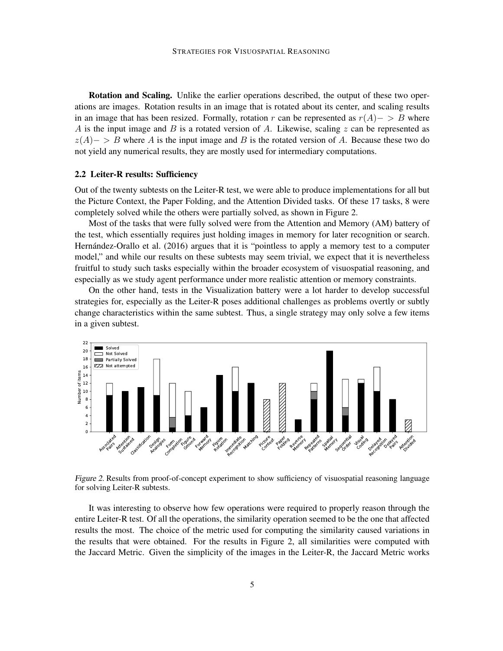Rotation and Scaling. Unlike the earlier operations described, the output of these two operations are images. Rotation results in an image that is rotated about its center, and scaling results in an image that has been resized. Formally, rotation r can be represented as  $r(A)$  – > B where A is the input image and B is a rotated version of A. Likewise, scaling z can be represented as  $z(A)$  > B where A is the input image and B is the rotated version of A. Because these two do not yield any numerical results, they are mostly used for intermediary computations.

#### 2.2 Leiter-R results: Sufficiency

Out of the twenty subtests on the Leiter-R test, we were able to produce implementations for all but the Picture Context, the Paper Folding, and the Attention Divided tasks. Of these 17 tasks, 8 were completely solved while the others were partially solved, as shown in Figure 2.

Most of the tasks that were fully solved were from the Attention and Memory (AM) battery of the test, which essentially requires just holding images in memory for later recognition or search. Hernández-Orallo et al. (2016) argues that it is "pointless to apply a memory test to a computer model," and while our results on these subtests may seem trivial, we expect that it is nevertheless fruitful to study such tasks especially within the broader ecosystem of visuospatial reasoning, and especially as we study agent performance under more realistic attention or memory constraints.

On the other hand, tests in the Visualization battery were a lot harder to develop successful strategies for, especially as the Leiter-R poses additional challenges as problems overtly or subtly change characteristics within the same subtest. Thus, a single strategy may only solve a few items in a given subtest.



Figure 2. Results from proof-of-concept experiment to show sufficiency of visuospatial reasoning language for solving Leiter-R subtests.

It was interesting to observe how few operations were required to properly reason through the entire Leiter-R test. Of all the operations, the similarity operation seemed to be the one that affected results the most. The choice of the metric used for computing the similarity caused variations in the results that were obtained. For the results in Figure 2, all similarities were computed with the Jaccard Metric. Given the simplicity of the images in the Leiter-R, the Jaccard Metric works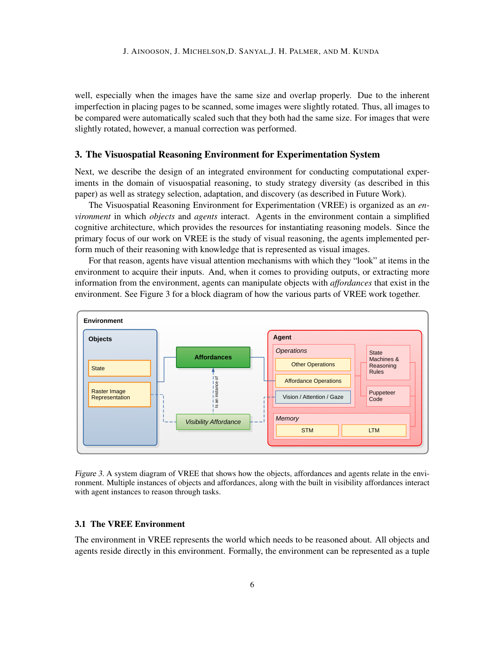well, especially when the images have the same size and overlap properly. Due to the inherent imperfection in placing pages to be scanned, some images were slightly rotated. Thus, all images to be compared were automatically scaled such that they both had the same size. For images that were slightly rotated, however, a manual correction was performed.

# 3. The Visuospatial Reasoning Environment for Experimentation System

Next, we describe the design of an integrated environment for conducting computational experiments in the domain of visuospatial reasoning, to study strategy diversity (as described in this paper) as well as strategy selection, adaptation, and discovery (as described in Future Work).

The Visuospatial Reasoning Environment for Experimentation (VREE) is organized as an *environment* in which *objects* and *agents* interact. Agents in the environment contain a simplified cognitive architecture, which provides the resources for instantiating reasoning models. Since the primary focus of our work on VREE is the study of visual reasoning, the agents implemented perform much of their reasoning with knowledge that is represented as visual images.

For that reason, agents have visual attention mechanisms with which they "look" at items in the environment to acquire their inputs. And, when it comes to providing outputs, or extracting more information from the environment, agents can manipulate objects with *affordances* that exist in the environment. See Figure 3 for a block diagram of how the various parts of VREE work together.



Figure 3. A system diagram of VREE that shows how the objects, affordances and agents relate in the environment. Multiple instances of objects and affordances, along with the built in visibility affordances interact with agent instances to reason through tasks.

# 3.1 The VREE Environment

The environment in VREE represents the world which needs to be reasoned about. All objects and agents reside directly in this environment. Formally, the environment can be represented as a tuple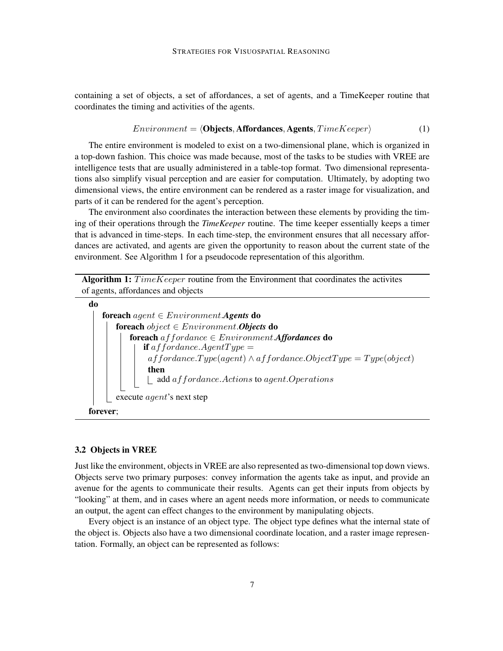containing a set of objects, a set of affordances, a set of agents, and a TimeKeeper routine that coordinates the timing and activities of the agents.

$$
Environment = \langle \textbf{Objects}, \textbf{Affordances}, \textbf{Agents}, TimeKeeper \rangle \tag{1}
$$

The entire environment is modeled to exist on a two-dimensional plane, which is organized in a top-down fashion. This choice was made because, most of the tasks to be studies with VREE are intelligence tests that are usually administered in a table-top format. Two dimensional representations also simplify visual perception and are easier for computation. Ultimately, by adopting two dimensional views, the entire environment can be rendered as a raster image for visualization, and parts of it can be rendered for the agent's perception.

The environment also coordinates the interaction between these elements by providing the timing of their operations through the *TimeKeeper* routine. The time keeper essentially keeps a timer that is advanced in time-steps. In each time-step, the environment ensures that all necessary affordances are activated, and agents are given the opportunity to reason about the current state of the environment. See Algorithm 1 for a pseudocode representation of this algorithm.

Algorithm 1:  $TimeKeeper$  routine from the Environment that coordinates the activites of agents, affordances and objects



# 3.2 Objects in VREE

Just like the environment, objects in VREE are also represented as two-dimensional top down views. Objects serve two primary purposes: convey information the agents take as input, and provide an avenue for the agents to communicate their results. Agents can get their inputs from objects by "looking" at them, and in cases where an agent needs more information, or needs to communicate an output, the agent can effect changes to the environment by manipulating objects.

Every object is an instance of an object type. The object type defines what the internal state of the object is. Objects also have a two dimensional coordinate location, and a raster image representation. Formally, an object can be represented as follows: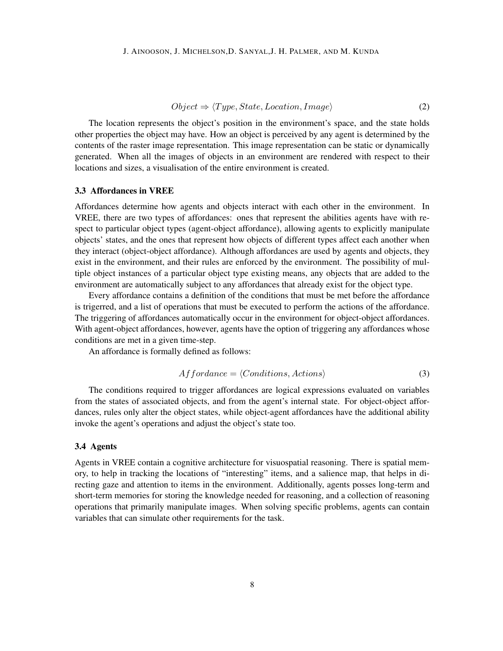$$
Object \Rightarrow \langle Type, State, Location, Image \rangle \tag{2}
$$

The location represents the object's position in the environment's space, and the state holds other properties the object may have. How an object is perceived by any agent is determined by the contents of the raster image representation. This image representation can be static or dynamically generated. When all the images of objects in an environment are rendered with respect to their locations and sizes, a visualisation of the entire environment is created.

#### 3.3 Affordances in VREE

Affordances determine how agents and objects interact with each other in the environment. In VREE, there are two types of affordances: ones that represent the abilities agents have with respect to particular object types (agent-object affordance), allowing agents to explicitly manipulate objects' states, and the ones that represent how objects of different types affect each another when they interact (object-object affordance). Although affordances are used by agents and objects, they exist in the environment, and their rules are enforced by the environment. The possibility of multiple object instances of a particular object type existing means, any objects that are added to the environment are automatically subject to any affordances that already exist for the object type.

Every affordance contains a definition of the conditions that must be met before the affordance is trigerred, and a list of operations that must be executed to perform the actions of the affordance. The triggering of affordances automatically occur in the environment for object-object affordances. With agent-object affordances, however, agents have the option of triggering any affordances whose conditions are met in a given time-step.

An affordance is formally defined as follows:

$$
Affordance = \langle Conditions, Actions \rangle \tag{3}
$$

The conditions required to trigger affordances are logical expressions evaluated on variables from the states of associated objects, and from the agent's internal state. For object-object affordances, rules only alter the object states, while object-agent affordances have the additional ability invoke the agent's operations and adjust the object's state too.

## 3.4 Agents

Agents in VREE contain a cognitive architecture for visuospatial reasoning. There is spatial memory, to help in tracking the locations of "interesting" items, and a salience map, that helps in directing gaze and attention to items in the environment. Additionally, agents posses long-term and short-term memories for storing the knowledge needed for reasoning, and a collection of reasoning operations that primarily manipulate images. When solving specific problems, agents can contain variables that can simulate other requirements for the task.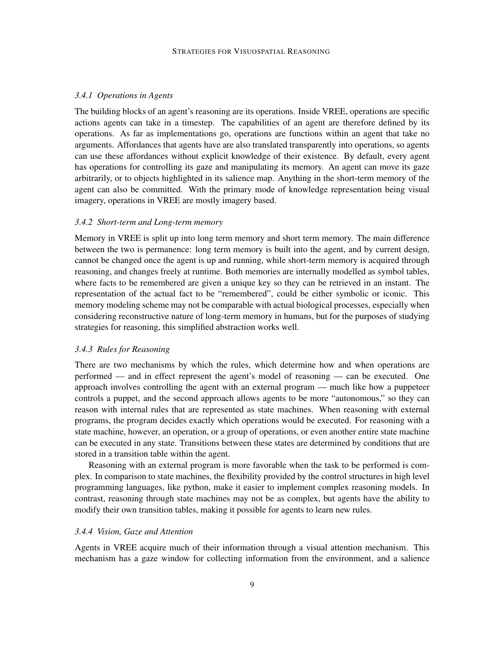#### *3.4.1 Operations in Agents*

The building blocks of an agent's reasoning are its operations. Inside VREE, operations are specific actions agents can take in a timestep. The capabilities of an agent are therefore defined by its operations. As far as implementations go, operations are functions within an agent that take no arguments. Affordances that agents have are also translated transparently into operations, so agents can use these affordances without explicit knowledge of their existence. By default, every agent has operations for controlling its gaze and manipulating its memory. An agent can move its gaze arbitrarily, or to objects highlighted in its salience map. Anything in the short-term memory of the agent can also be committed. With the primary mode of knowledge representation being visual imagery, operations in VREE are mostly imagery based.

# *3.4.2 Short-term and Long-term memory*

Memory in VREE is split up into long term memory and short term memory. The main difference between the two is permanence: long term memory is built into the agent, and by current design, cannot be changed once the agent is up and running, while short-term memory is acquired through reasoning, and changes freely at runtime. Both memories are internally modelled as symbol tables, where facts to be remembered are given a unique key so they can be retrieved in an instant. The representation of the actual fact to be "remembered", could be either symbolic or iconic. This memory modeling scheme may not be comparable with actual biological processes, especially when considering reconstructive nature of long-term memory in humans, but for the purposes of studying strategies for reasoning, this simplified abstraction works well.

#### *3.4.3 Rules for Reasoning*

There are two mechanisms by which the rules, which determine how and when operations are performed — and in effect represent the agent's model of reasoning — can be executed. One approach involves controlling the agent with an external program — much like how a puppeteer controls a puppet, and the second approach allows agents to be more "autonomous," so they can reason with internal rules that are represented as state machines. When reasoning with external programs, the program decides exactly which operations would be executed. For reasoning with a state machine, however, an operation, or a group of operations, or even another entire state machine can be executed in any state. Transitions between these states are determined by conditions that are stored in a transition table within the agent.

Reasoning with an external program is more favorable when the task to be performed is complex. In comparison to state machines, the flexibility provided by the control structures in high level programming languages, like python, make it easier to implement complex reasoning models. In contrast, reasoning through state machines may not be as complex, but agents have the ability to modify their own transition tables, making it possible for agents to learn new rules.

## *3.4.4 Vision, Gaze and Attention*

Agents in VREE acquire much of their information through a visual attention mechanism. This mechanism has a gaze window for collecting information from the environment, and a salience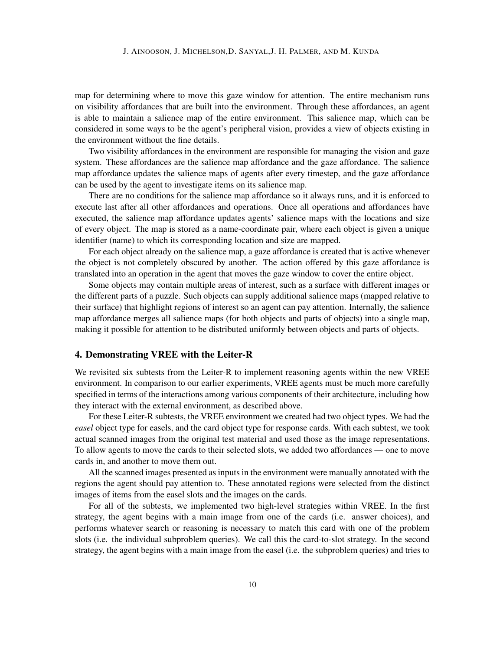map for determining where to move this gaze window for attention. The entire mechanism runs on visibility affordances that are built into the environment. Through these affordances, an agent is able to maintain a salience map of the entire environment. This salience map, which can be considered in some ways to be the agent's peripheral vision, provides a view of objects existing in the environment without the fine details.

Two visibility affordances in the environment are responsible for managing the vision and gaze system. These affordances are the salience map affordance and the gaze affordance. The salience map affordance updates the salience maps of agents after every timestep, and the gaze affordance can be used by the agent to investigate items on its salience map.

There are no conditions for the salience map affordance so it always runs, and it is enforced to execute last after all other affordances and operations. Once all operations and affordances have executed, the salience map affordance updates agents' salience maps with the locations and size of every object. The map is stored as a name-coordinate pair, where each object is given a unique identifier (name) to which its corresponding location and size are mapped.

For each object already on the salience map, a gaze affordance is created that is active whenever the object is not completely obscured by another. The action offered by this gaze affordance is translated into an operation in the agent that moves the gaze window to cover the entire object.

Some objects may contain multiple areas of interest, such as a surface with different images or the different parts of a puzzle. Such objects can supply additional salience maps (mapped relative to their surface) that highlight regions of interest so an agent can pay attention. Internally, the salience map affordance merges all salience maps (for both objects and parts of objects) into a single map, making it possible for attention to be distributed uniformly between objects and parts of objects.

#### 4. Demonstrating VREE with the Leiter-R

We revisited six subtests from the Leiter-R to implement reasoning agents within the new VREE environment. In comparison to our earlier experiments, VREE agents must be much more carefully specified in terms of the interactions among various components of their architecture, including how they interact with the external environment, as described above.

For these Leiter-R subtests, the VREE environment we created had two object types. We had the *easel* object type for easels, and the card object type for response cards. With each subtest, we took actual scanned images from the original test material and used those as the image representations. To allow agents to move the cards to their selected slots, we added two affordances — one to move cards in, and another to move them out.

All the scanned images presented as inputs in the environment were manually annotated with the regions the agent should pay attention to. These annotated regions were selected from the distinct images of items from the easel slots and the images on the cards.

For all of the subtests, we implemented two high-level strategies within VREE. In the first strategy, the agent begins with a main image from one of the cards (i.e. answer choices), and performs whatever search or reasoning is necessary to match this card with one of the problem slots (i.e. the individual subproblem queries). We call this the card-to-slot strategy. In the second strategy, the agent begins with a main image from the easel (i.e. the subproblem queries) and tries to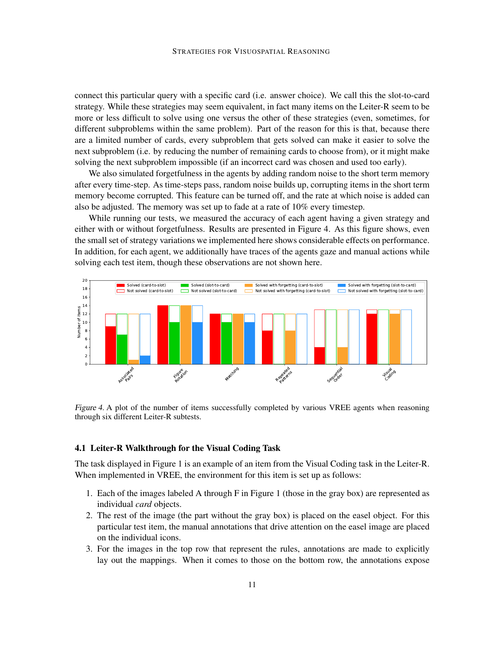connect this particular query with a specific card (i.e. answer choice). We call this the slot-to-card strategy. While these strategies may seem equivalent, in fact many items on the Leiter-R seem to be more or less difficult to solve using one versus the other of these strategies (even, sometimes, for different subproblems within the same problem). Part of the reason for this is that, because there are a limited number of cards, every subproblem that gets solved can make it easier to solve the next subproblem (i.e. by reducing the number of remaining cards to choose from), or it might make solving the next subproblem impossible (if an incorrect card was chosen and used too early).

We also simulated forgetfulness in the agents by adding random noise to the short term memory after every time-step. As time-steps pass, random noise builds up, corrupting items in the short term memory become corrupted. This feature can be turned off, and the rate at which noise is added can also be adjusted. The memory was set up to fade at a rate of 10% every timestep.

While running our tests, we measured the accuracy of each agent having a given strategy and either with or without forgetfulness. Results are presented in Figure 4. As this figure shows, even the small set of strategy variations we implemented here shows considerable effects on performance. In addition, for each agent, we additionally have traces of the agents gaze and manual actions while solving each test item, though these observations are not shown here.



Figure 4. A plot of the number of items successfully completed by various VREE agents when reasoning through six different Leiter-R subtests.

#### 4.1 Leiter-R Walkthrough for the Visual Coding Task

The task displayed in Figure 1 is an example of an item from the Visual Coding task in the Leiter-R. When implemented in VREE, the environment for this item is set up as follows:

- 1. Each of the images labeled A through F in Figure 1 (those in the gray box) are represented as individual *card* objects.
- 2. The rest of the image (the part without the gray box) is placed on the easel object. For this particular test item, the manual annotations that drive attention on the easel image are placed on the individual icons.
- 3. For the images in the top row that represent the rules, annotations are made to explicitly lay out the mappings. When it comes to those on the bottom row, the annotations expose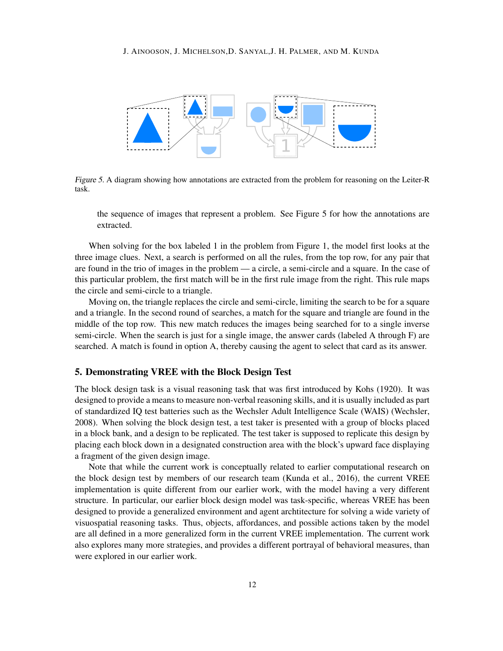#### J. AINOOSON, J. MICHELSON,D. SANYAL,J. H. PALMER, AND M. KUNDA



Figure 5. A diagram showing how annotations are extracted from the problem for reasoning on the Leiter-R task.

the sequence of images that represent a problem. See Figure 5 for how the annotations are extracted.

When solving for the box labeled 1 in the problem from Figure 1, the model first looks at the three image clues. Next, a search is performed on all the rules, from the top row, for any pair that are found in the trio of images in the problem — a circle, a semi-circle and a square. In the case of this particular problem, the first match will be in the first rule image from the right. This rule maps the circle and semi-circle to a triangle.

Moving on, the triangle replaces the circle and semi-circle, limiting the search to be for a square and a triangle. In the second round of searches, a match for the square and triangle are found in the middle of the top row. This new match reduces the images being searched for to a single inverse semi-circle. When the search is just for a single image, the answer cards (labeled A through F) are searched. A match is found in option A, thereby causing the agent to select that card as its answer.

# 5. Demonstrating VREE with the Block Design Test

The block design task is a visual reasoning task that was first introduced by Kohs (1920). It was designed to provide a means to measure non-verbal reasoning skills, and it is usually included as part of standardized IQ test batteries such as the Wechsler Adult Intelligence Scale (WAIS) (Wechsler, 2008). When solving the block design test, a test taker is presented with a group of blocks placed in a block bank, and a design to be replicated. The test taker is supposed to replicate this design by placing each block down in a designated construction area with the block's upward face displaying a fragment of the given design image.

Note that while the current work is conceptually related to earlier computational research on the block design test by members of our research team (Kunda et al., 2016), the current VREE implementation is quite different from our earlier work, with the model having a very different structure. In particular, our earlier block design model was task-specific, whereas VREE has been designed to provide a generalized environment and agent archtitecture for solving a wide variety of visuospatial reasoning tasks. Thus, objects, affordances, and possible actions taken by the model are all defined in a more generalized form in the current VREE implementation. The current work also explores many more strategies, and provides a different portrayal of behavioral measures, than were explored in our earlier work.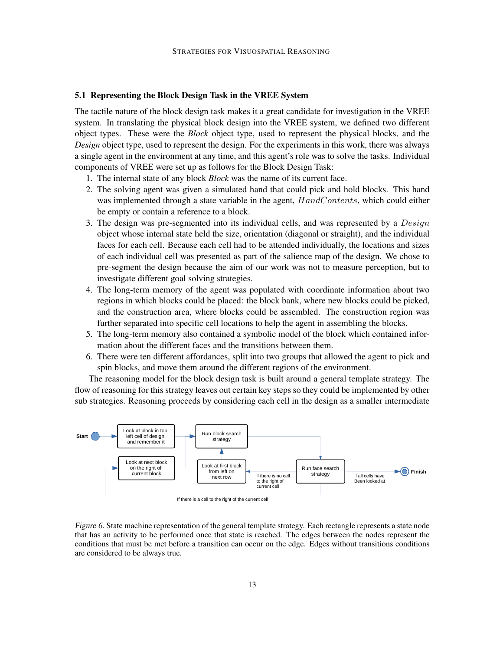## 5.1 Representing the Block Design Task in the VREE System

The tactile nature of the block design task makes it a great candidate for investigation in the VREE system. In translating the physical block design into the VREE system, we defined two different object types. These were the *Block* object type, used to represent the physical blocks, and the *Design* object type, used to represent the design. For the experiments in this work, there was always a single agent in the environment at any time, and this agent's role was to solve the tasks. Individual components of VREE were set up as follows for the Block Design Task:

- 1. The internal state of any block *Block* was the name of its current face.
- 2. The solving agent was given a simulated hand that could pick and hold blocks. This hand was implemented through a state variable in the agent,  $HandContents$ , which could either be empty or contain a reference to a block.
- 3. The design was pre-segmented into its individual cells, and was represented by a  $Design$ object whose internal state held the size, orientation (diagonal or straight), and the individual faces for each cell. Because each cell had to be attended individually, the locations and sizes of each individual cell was presented as part of the salience map of the design. We chose to pre-segment the design because the aim of our work was not to measure perception, but to investigate different goal solving strategies.
- 4. The long-term memory of the agent was populated with coordinate information about two regions in which blocks could be placed: the block bank, where new blocks could be picked, and the construction area, where blocks could be assembled. The construction region was further separated into specific cell locations to help the agent in assembling the blocks.
- 5. The long-term memory also contained a symbolic model of the block which contained information about the different faces and the transitions between them.
- 6. There were ten different affordances, split into two groups that allowed the agent to pick and spin blocks, and move them around the different regions of the environment.

The reasoning model for the block design task is built around a general template strategy. The flow of reasoning for this strategy leaves out certain key steps so they could be implemented by other sub strategies. Reasoning proceeds by considering each cell in the design as a smaller intermediate



If there is a cell to the right of the current cell

Figure 6. State machine representation of the general template strategy. Each rectangle represents a state node that has an activity to be performed once that state is reached. The edges between the nodes represent the conditions that must be met before a transition can occur on the edge. Edges without transitions conditions are considered to be always true.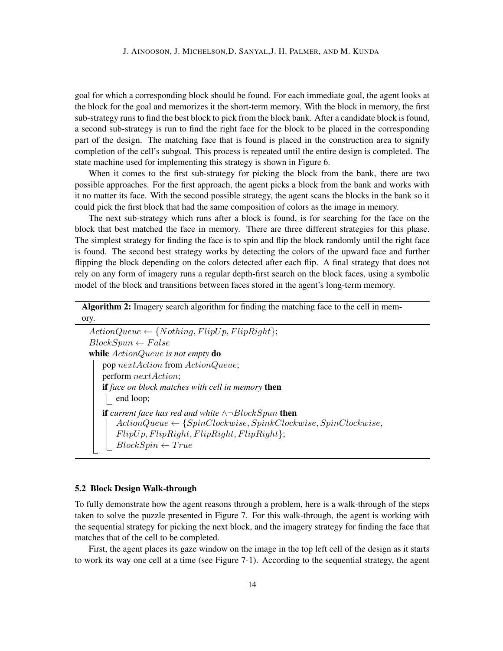goal for which a corresponding block should be found. For each immediate goal, the agent looks at the block for the goal and memorizes it the short-term memory. With the block in memory, the first sub-strategy runs to find the best block to pick from the block bank. After a candidate block is found, a second sub-strategy is run to find the right face for the block to be placed in the corresponding part of the design. The matching face that is found is placed in the construction area to signify completion of the cell's subgoal. This process is repeated until the entire design is completed. The state machine used for implementing this strategy is shown in Figure 6.

When it comes to the first sub-strategy for picking the block from the bank, there are two possible approaches. For the first approach, the agent picks a block from the bank and works with it no matter its face. With the second possible strategy, the agent scans the blocks in the bank so it could pick the first block that had the same composition of colors as the image in memory.

The next sub-strategy which runs after a block is found, is for searching for the face on the block that best matched the face in memory. There are three different strategies for this phase. The simplest strategy for finding the face is to spin and flip the block randomly until the right face is found. The second best strategy works by detecting the colors of the upward face and further flipping the block depending on the colors detected after each flip. A final strategy that does not rely on any form of imagery runs a regular depth-first search on the block faces, using a symbolic model of the block and transitions between faces stored in the agent's long-term memory.

Algorithm 2: Imagery search algorithm for finding the matching face to the cell in memory.

```
ActionQueue \leftarrow \{Nothing,FlipUp, Flight\};BlockSpun \leftarrow Falsewhile ActionQueue is not empty do
pop nextAction from ActionQueue;
perform nextAction;
if face on block matches with cell in memory then
 | end loop;
if current face has red and white ∧¬BlockSpun then
    ActionQueue \leftarrow \{SpinClockwise, SpinkClockwise, SpinClockwise,FlipUp, FlipRight, FlipRight, FlipRight\};BlockSpin \leftarrow True
```
## 5.2 Block Design Walk-through

To fully demonstrate how the agent reasons through a problem, here is a walk-through of the steps taken to solve the puzzle presented in Figure 7. For this walk-through, the agent is working with the sequential strategy for picking the next block, and the imagery strategy for finding the face that matches that of the cell to be completed.

First, the agent places its gaze window on the image in the top left cell of the design as it starts to work its way one cell at a time (see Figure 7-1). According to the sequential strategy, the agent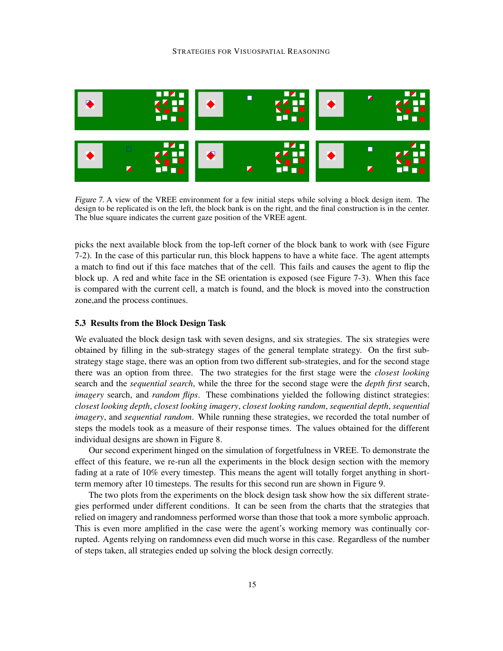

Figure 7. A view of the VREE environment for a few initial steps while solving a block design item. The design to be replicated is on the left, the block bank is on the right, and the final construction is in the center. The blue square indicates the current gaze position of the VREE agent.

picks the next available block from the top-left corner of the block bank to work with (see Figure 7-2). In the case of this particular run, this block happens to have a white face. The agent attempts a match to find out if this face matches that of the cell. This fails and causes the agent to flip the block up. A red and white face in the SE orientation is exposed (see Figure 7-3). When this face is compared with the current cell, a match is found, and the block is moved into the construction zone,and the process continues.

## 5.3 Results from the Block Design Task

We evaluated the block design task with seven designs, and six strategies. The six strategies were obtained by filling in the sub-strategy stages of the general template strategy. On the first substrategy stage stage, there was an option from two different sub-strategies, and for the second stage there was an option from three. The two strategies for the first stage were the *closest looking* search and the *sequential search*, while the three for the second stage were the *depth first* search, *imagery* search, and *random flips*. These combinations yielded the following distinct strategies: *closest looking depth*, *closest looking imagery*, *closest looking random*, *sequential depth*, *sequential imagery*, and *sequential random*. While running these strategies, we recorded the total number of steps the models took as a measure of their response times. The values obtained for the different individual designs are shown in Figure 8.

Our second experiment hinged on the simulation of forgetfulness in VREE. To demonstrate the effect of this feature, we re-run all the experiments in the block design section with the memory fading at a rate of 10% every timestep. This means the agent will totally forget anything in shortterm memory after 10 timesteps. The results for this second run are shown in Figure 9.

The two plots from the experiments on the block design task show how the six different strategies performed under different conditions. It can be seen from the charts that the strategies that relied on imagery and randomness performed worse than those that took a more symbolic approach. This is even more amplified in the case were the agent's working memory was continually corrupted. Agents relying on randomness even did much worse in this case. Regardless of the number of steps taken, all strategies ended up solving the block design correctly.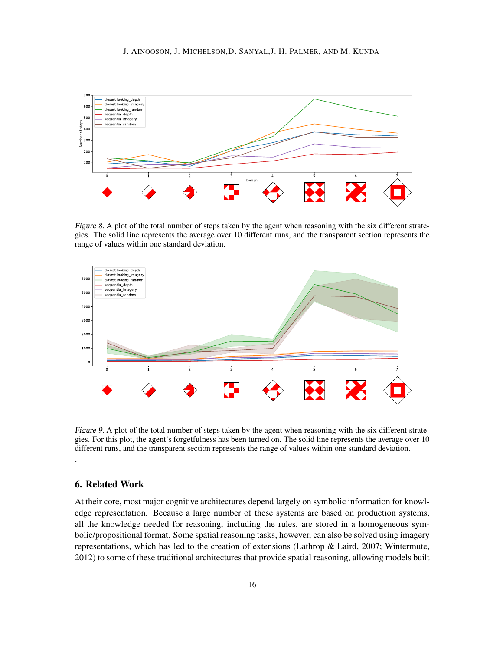

Figure 8. A plot of the total number of steps taken by the agent when reasoning with the six different strategies. The solid line represents the average over 10 different runs, and the transparent section represents the range of values within one standard deviation.



Figure 9. A plot of the total number of steps taken by the agent when reasoning with the six different strategies. For this plot, the agent's forgetfulness has been turned on. The solid line represents the average over 10 different runs, and the transparent section represents the range of values within one standard deviation.

### 6. Related Work

.

At their core, most major cognitive architectures depend largely on symbolic information for knowledge representation. Because a large number of these systems are based on production systems, all the knowledge needed for reasoning, including the rules, are stored in a homogeneous symbolic/propositional format. Some spatial reasoning tasks, however, can also be solved using imagery representations, which has led to the creation of extensions (Lathrop & Laird, 2007; Wintermute, 2012) to some of these traditional architectures that provide spatial reasoning, allowing models built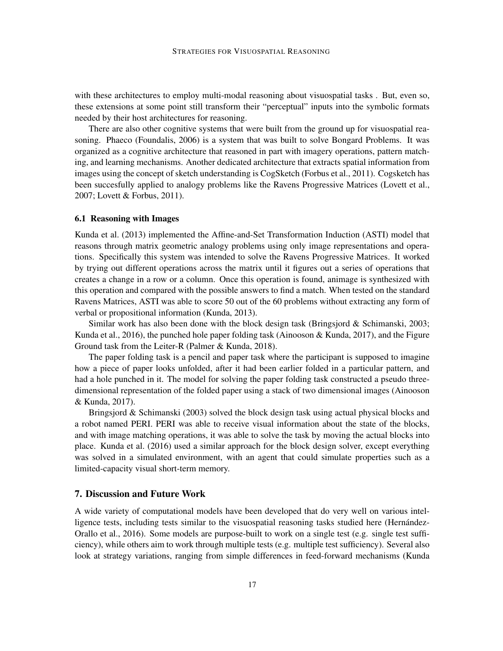with these architectures to employ multi-modal reasoning about visuospatial tasks . But, even so, these extensions at some point still transform their "perceptual" inputs into the symbolic formats needed by their host architectures for reasoning.

There are also other cognitive systems that were built from the ground up for visuospatial reasoning. Phaeco (Foundalis, 2006) is a system that was built to solve Bongard Problems. It was organized as a cognitive architecture that reasoned in part with imagery operations, pattern matching, and learning mechanisms. Another dedicated architecture that extracts spatial information from images using the concept of sketch understanding is CogSketch (Forbus et al., 2011). Cogsketch has been succesfully applied to analogy problems like the Ravens Progressive Matrices (Lovett et al., 2007; Lovett & Forbus, 2011).

#### 6.1 Reasoning with Images

Kunda et al. (2013) implemented the Affine-and-Set Transformation Induction (ASTI) model that reasons through matrix geometric analogy problems using only image representations and operations. Specifically this system was intended to solve the Ravens Progressive Matrices. It worked by trying out different operations across the matrix until it figures out a series of operations that creates a change in a row or a column. Once this operation is found, animage is synthesized with this operation and compared with the possible answers to find a match. When tested on the standard Ravens Matrices, ASTI was able to score 50 out of the 60 problems without extracting any form of verbal or propositional information (Kunda, 2013).

Similar work has also been done with the block design task (Bringsjord & Schimanski, 2003; Kunda et al., 2016), the punched hole paper folding task (Ainooson & Kunda, 2017), and the Figure Ground task from the Leiter-R (Palmer & Kunda, 2018).

The paper folding task is a pencil and paper task where the participant is supposed to imagine how a piece of paper looks unfolded, after it had been earlier folded in a particular pattern, and had a hole punched in it. The model for solving the paper folding task constructed a pseudo threedimensional representation of the folded paper using a stack of two dimensional images (Ainooson & Kunda, 2017).

Bringsjord & Schimanski (2003) solved the block design task using actual physical blocks and a robot named PERI. PERI was able to receive visual information about the state of the blocks, and with image matching operations, it was able to solve the task by moving the actual blocks into place. Kunda et al. (2016) used a similar approach for the block design solver, except everything was solved in a simulated environment, with an agent that could simulate properties such as a limited-capacity visual short-term memory.

### 7. Discussion and Future Work

A wide variety of computational models have been developed that do very well on various intelligence tests, including tests similar to the visuospatial reasoning tasks studied here (Hernández-Orallo et al., 2016). Some models are purpose-built to work on a single test (e.g. single test sufficiency), while others aim to work through multiple tests (e.g. multiple test sufficiency). Several also look at strategy variations, ranging from simple differences in feed-forward mechanisms (Kunda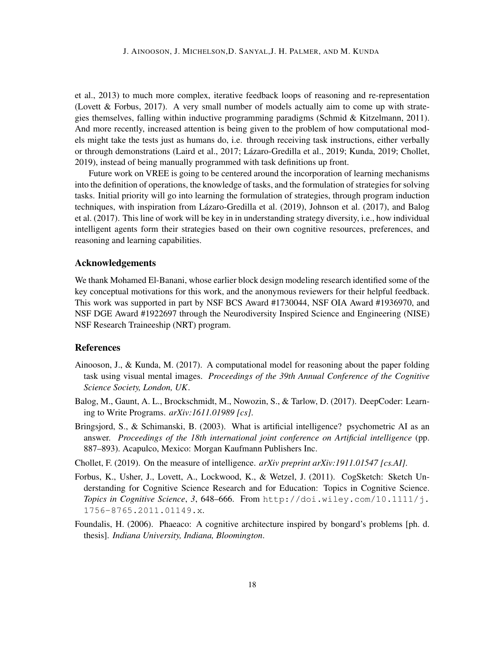et al., 2013) to much more complex, iterative feedback loops of reasoning and re-representation (Lovett & Forbus, 2017). A very small number of models actually aim to come up with strategies themselves, falling within inductive programming paradigms (Schmid & Kitzelmann, 2011). And more recently, increased attention is being given to the problem of how computational models might take the tests just as humans do, i.e. through receiving task instructions, either verbally or through demonstrations (Laird et al., 2017; Lázaro-Gredilla et al., 2019; Kunda, 2019; Chollet, 2019), instead of being manually programmed with task definitions up front.

Future work on VREE is going to be centered around the incorporation of learning mechanisms into the definition of operations, the knowledge of tasks, and the formulation of strategies for solving tasks. Initial priority will go into learning the formulation of strategies, through program induction techniques, with inspiration from Lázaro-Gredilla et al. (2019), Johnson et al. (2017), and Balog et al. (2017). This line of work will be key in in understanding strategy diversity, i.e., how individual intelligent agents form their strategies based on their own cognitive resources, preferences, and reasoning and learning capabilities.

#### Acknowledgements

We thank Mohamed El-Banani, whose earlier block design modeling research identified some of the key conceptual motivations for this work, and the anonymous reviewers for their helpful feedback. This work was supported in part by NSF BCS Award #1730044, NSF OIA Award #1936970, and NSF DGE Award #1922697 through the Neurodiversity Inspired Science and Engineering (NISE) NSF Research Traineeship (NRT) program.

# References

- Ainooson, J., & Kunda, M. (2017). A computational model for reasoning about the paper folding task using visual mental images. *Proceedings of the 39th Annual Conference of the Cognitive Science Society, London, UK*.
- Balog, M., Gaunt, A. L., Brockschmidt, M., Nowozin, S., & Tarlow, D. (2017). DeepCoder: Learning to Write Programs. *arXiv:1611.01989 [cs]*.
- Bringsjord, S., & Schimanski, B. (2003). What is artificial intelligence? psychometric AI as an answer. *Proceedings of the 18th international joint conference on Artificial intelligence* (pp. 887–893). Acapulco, Mexico: Morgan Kaufmann Publishers Inc.
- Chollet, F. (2019). On the measure of intelligence. *arXiv preprint arXiv:1911.01547 [cs.AI]*.
- Forbus, K., Usher, J., Lovett, A., Lockwood, K., & Wetzel, J. (2011). CogSketch: Sketch Understanding for Cognitive Science Research and for Education: Topics in Cognitive Science. *Topics in Cognitive Science*, *3*, 648–666. From http://doi.wiley.com/10.1111/j. 1756-8765.2011.01149.x.
- Foundalis, H. (2006). Phaeaco: A cognitive architecture inspired by bongard's problems [ph. d. thesis]. *Indiana University, Indiana, Bloomington*.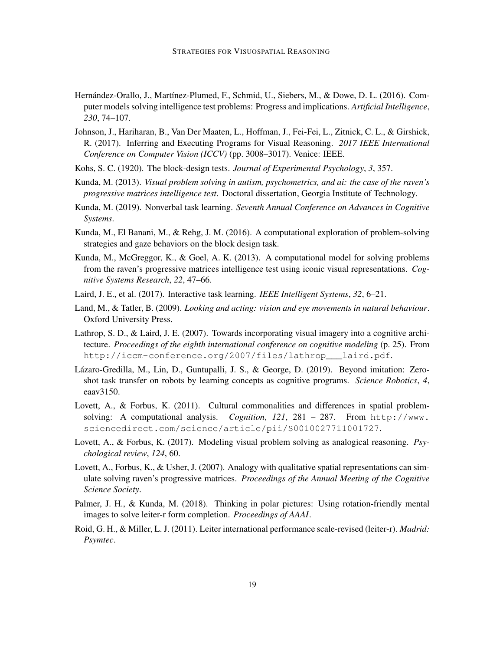- Hernández-Orallo, J., Martínez-Plumed, F., Schmid, U., Siebers, M., & Dowe, D. L. (2016). Computer models solving intelligence test problems: Progress and implications. *Artificial Intelligence*, *230*, 74–107.
- Johnson, J., Hariharan, B., Van Der Maaten, L., Hoffman, J., Fei-Fei, L., Zitnick, C. L., & Girshick, R. (2017). Inferring and Executing Programs for Visual Reasoning. *2017 IEEE International Conference on Computer Vision (ICCV)* (pp. 3008–3017). Venice: IEEE.
- Kohs, S. C. (1920). The block-design tests. *Journal of Experimental Psychology*, *3*, 357.
- Kunda, M. (2013). *Visual problem solving in autism, psychometrics, and ai: the case of the raven's progressive matrices intelligence test*. Doctoral dissertation, Georgia Institute of Technology.
- Kunda, M. (2019). Nonverbal task learning. *Seventh Annual Conference on Advances in Cognitive Systems*.
- Kunda, M., El Banani, M., & Rehg, J. M. (2016). A computational exploration of problem-solving strategies and gaze behaviors on the block design task.
- Kunda, M., McGreggor, K., & Goel, A. K. (2013). A computational model for solving problems from the raven's progressive matrices intelligence test using iconic visual representations. *Cognitive Systems Research*, *22*, 47–66.
- Laird, J. E., et al. (2017). Interactive task learning. *IEEE Intelligent Systems*, *32*, 6–21.
- Land, M., & Tatler, B. (2009). *Looking and acting: vision and eye movements in natural behaviour*. Oxford University Press.
- Lathrop, S. D., & Laird, J. E. (2007). Towards incorporating visual imagery into a cognitive architecture. *Proceedings of the eighth international conference on cognitive modeling* (p. 25). From http://iccm-conference.org/2007/files/lathrop\_\_\_laird.pdf.
- Lázaro-Gredilla, M., Lin, D., Guntupalli, J. S., & George, D. (2019). Beyond imitation: Zeroshot task transfer on robots by learning concepts as cognitive programs. *Science Robotics*, *4*, eaav3150.
- Lovett, A., & Forbus, K. (2011). Cultural commonalities and differences in spatial problemsolving: A computational analysis. *Cognition*,  $121$ ,  $281 - 287$ . From http://www. sciencedirect.com/science/article/pii/S0010027711001727.
- Lovett, A., & Forbus, K. (2017). Modeling visual problem solving as analogical reasoning. *Psychological review*, *124*, 60.
- Lovett, A., Forbus, K., & Usher, J. (2007). Analogy with qualitative spatial representations can simulate solving raven's progressive matrices. *Proceedings of the Annual Meeting of the Cognitive Science Society*.
- Palmer, J. H., & Kunda, M. (2018). Thinking in polar pictures: Using rotation-friendly mental images to solve leiter-r form completion. *Proceedings of AAAI*.
- Roid, G. H., & Miller, L. J. (2011). Leiter international performance scale-revised (leiter-r). *Madrid: Psymtec*.